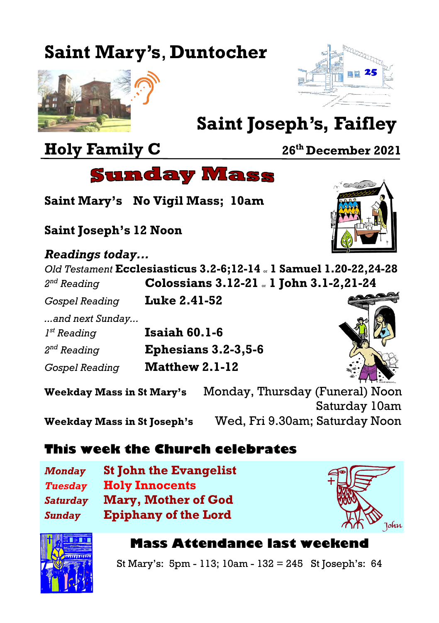# **Saint Mary's**, **Duntocher**





# **Saint Joseph's, Faifley**

# **Holy Family C 26th December 2021**



**Saint Mary's No Vigil Mass; 10am**

**Saint Joseph's 12 Noon**

#### *Readings today...*

*Old Testament* **Ecclesiasticus 3.2-6;12-14** or **1 Samuel 1.20-22,24-28**  $2^{nd}$  Reading *nd Reading* **Colossians 3.12-21** or **1 John 3.1-2,21-24**

*Gospel Reading* **Luke 2.41-52**

*...and next Sunday...*  $I^{st}$  Reading *st Reading* **Isaiah 60.1-6**

 $2<sup>nd</sup>$  Reading *nd Reading* **Ephesians 3.2-3,5-6**

*Gospel Reading* **Matthew 2.1-12**



**Weekday Mass in St Mary's** Monday, Thursday (Funeral) Noon Saturday 10am **Weekday Mass in St Joseph's** Wed, Fri 9.30am; Saturday Noon

### **This week the Church celebrates**

*Monday* **St John the Evangelist** *Tuesday* **Holy Innocents** *Saturday* **Mary, Mother of God** *Sunday* **Epiphany of the Lord**





#### **Mass Attendance last weekend**

St Mary's: 5pm - 113; 10am - 132 = 245 St Joseph's: 64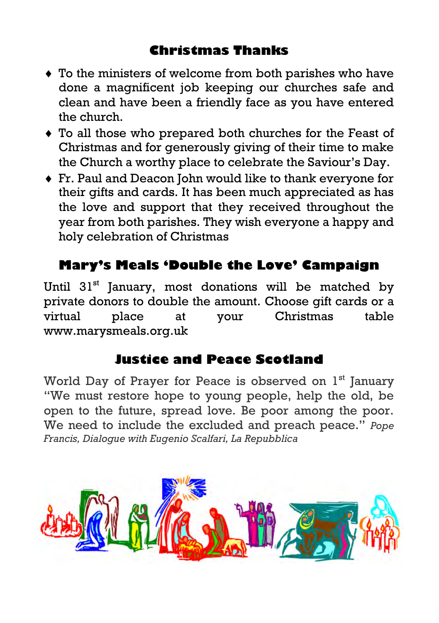#### **Christmas Thanks**

- To the ministers of welcome from both parishes who have done a magnificent job keeping our churches safe and clean and have been a friendly face as you have entered the church.
- To all those who prepared both churches for the Feast of Christmas and for generously giving of their time to make the Church a worthy place to celebrate the Saviour's Day.
- Fr. Paul and Deacon John would like to thank everyone for their gifts and cards. It has been much appreciated as has the love and support that they received throughout the year from both parishes. They wish everyone a happy and holy celebration of Christmas

#### **Mary's Meals ['Double the Love'](https://www.marysmeals.org.uk/doublethelove) Campaign**

Until 31<sup>st</sup> January, most donations will be matched by private donors to double the amount. Choose gift cards or a virtual place at your Christmas table [www.marysmeals.org.uk](http://www.marysmeals.org.uk) 

#### **Justice and Peace Scotland**

World Day of Prayer for Peace is observed on 1<sup>st</sup> January "We must restore hope to young people, help the old, be open to the future, spread love. Be poor among the poor. We need to include the excluded and preach peace." *Pope Francis, Dialogue with Eugenio Scalfari, La Repubblica*

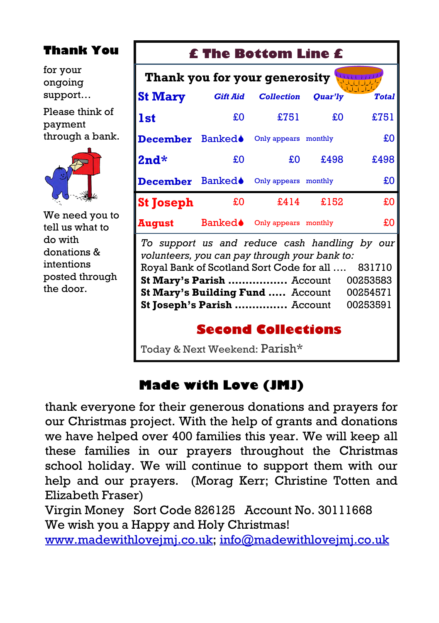#### **Thank You**

for your ongoing support…

Please think of payment through a bank.



We need you to tell us what to do with donations & intentions posted through the door.

#### **£ The Bottom Line £**

| Thank you for your generosity                                                                  |                 |                      |         |              |  |  |
|------------------------------------------------------------------------------------------------|-----------------|----------------------|---------|--------------|--|--|
| <b>St Mary</b>                                                                                 | <b>Gift Aid</b> | <b>Collection</b>    | Ouar'ly | <b>Total</b> |  |  |
| l 1st                                                                                          | £O              | £751                 | £O      | £751         |  |  |
| <b>December</b> Banked $\bullet$                                                               |                 | Only appears monthly |         | £O           |  |  |
| l2nd*                                                                                          | £O              | £O                   | £498    | £498         |  |  |
| <b>December</b> Banked $\bullet$                                                               |                 | Only appears monthly |         | £O           |  |  |
| <b>St Joseph</b>                                                                               | £0              | £414                 | £152    | £0           |  |  |
| August                                                                                         | Banked♦         | Only appears monthly |         | £O           |  |  |
| To support us and reduce cash handling by our<br>volunteers, you can pay through your bank to: |                 |                      |         |              |  |  |

*volunteers, you can pay through your bank to:* Royal Bank of Scotland Sort Code for all …. 831710 **St Mary's Parish .................** Account 00253583 **St Mary's Building Fund .....** Account 00254571 **St Joseph's Parish …………...** Account 00253591

#### **Second Collections**

Today & Next Weekend: Parish\*

### **Made with Love (JMJ)**

thank everyone for their generous donations and prayers for our Christmas project. With the help of grants and donations we have helped over 400 families this year. We will keep all these families in our prayers throughout the Christmas school holiday. We will continue to support them with our help and our prayers. (Morag Kerr; Christine Totten and Elizabeth Fraser)

Virgin Money Sort Code 826125 Account No. 30111668 We wish you a Happy and Holy Christmas!

[www.madewithlovejmj.co.uk;](http://www.madewithlovejmj.co.uk) info@madewithlovejmj.co.uk